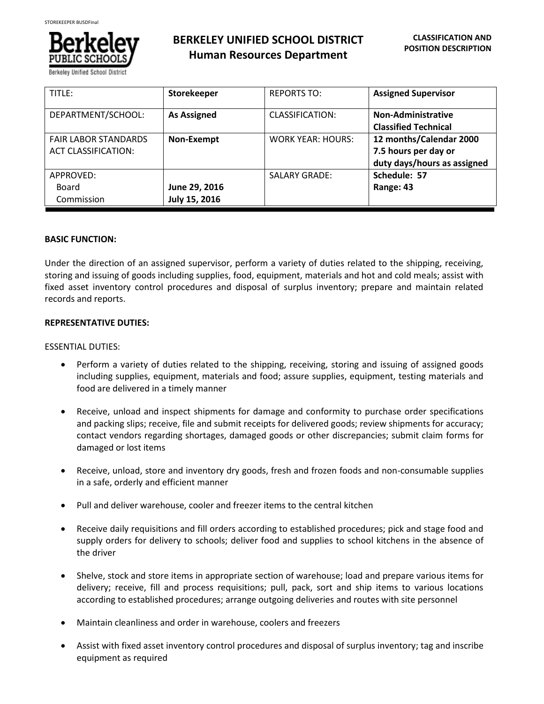

# **BERKELEY UNIFIED SCHOOL DISTRICT Human Resources Department**

| TITLE:                      | Storekeeper        | <b>REPORTS TO:</b>       | <b>Assigned Supervisor</b>  |
|-----------------------------|--------------------|--------------------------|-----------------------------|
| DEPARTMENT/SCHOOL:          | <b>As Assigned</b> | <b>CLASSIFICATION:</b>   | Non-Administrative          |
|                             |                    |                          | <b>Classified Technical</b> |
| <b>FAIR LABOR STANDARDS</b> | Non-Exempt         | <b>WORK YEAR: HOURS:</b> | 12 months/Calendar 2000     |
| <b>ACT CLASSIFICATION:</b>  |                    |                          | 7.5 hours per day or        |
|                             |                    |                          | duty days/hours as assigned |
| APPROVED:                   |                    | <b>SALARY GRADE:</b>     | Schedule: 57                |
| Board                       | June 29, 2016      |                          | Range: 43                   |
| Commission                  | July 15, 2016      |                          |                             |

# **BASIC FUNCTION:**

Under the direction of an assigned supervisor, perform a variety of duties related to the shipping, receiving, storing and issuing of goods including supplies, food, equipment, materials and hot and cold meals; assist with fixed asset inventory control procedures and disposal of surplus inventory; prepare and maintain related records and reports.

# **REPRESENTATIVE DUTIES:**

# ESSENTIAL DUTIES:

- Perform a variety of duties related to the shipping, receiving, storing and issuing of assigned goods including supplies, equipment, materials and food; assure supplies, equipment, testing materials and food are delivered in a timely manner
- Receive, unload and inspect shipments for damage and conformity to purchase order specifications and packing slips; receive, file and submit receipts for delivered goods; review shipments for accuracy; contact vendors regarding shortages, damaged goods or other discrepancies; submit claim forms for damaged or lost items
- Receive, unload, store and inventory dry goods, fresh and frozen foods and non-consumable supplies in a safe, orderly and efficient manner
- Pull and deliver warehouse, cooler and freezer items to the central kitchen
- Receive daily requisitions and fill orders according to established procedures; pick and stage food and supply orders for delivery to schools; deliver food and supplies to school kitchens in the absence of the driver
- Shelve, stock and store items in appropriate section of warehouse; load and prepare various items for delivery; receive, fill and process requisitions; pull, pack, sort and ship items to various locations according to established procedures; arrange outgoing deliveries and routes with site personnel
- Maintain cleanliness and order in warehouse, coolers and freezers
- Assist with fixed asset inventory control procedures and disposal of surplus inventory; tag and inscribe equipment as required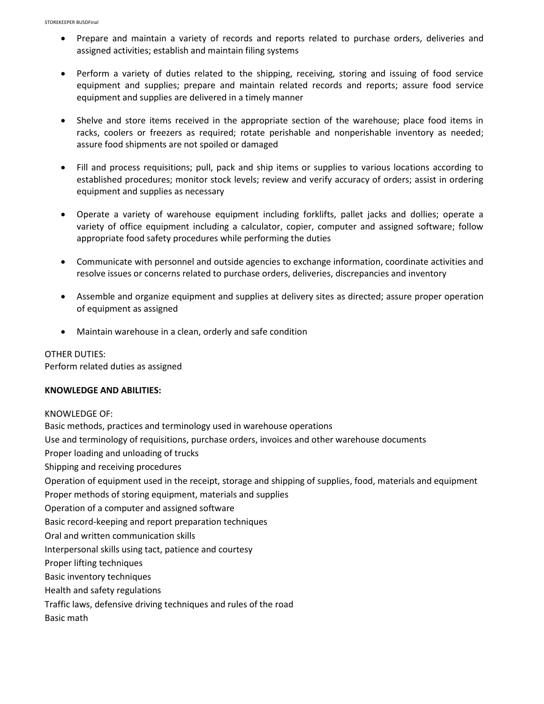- Prepare and maintain a variety of records and reports related to purchase orders, deliveries and assigned activities; establish and maintain filing systems
- Perform a variety of duties related to the shipping, receiving, storing and issuing of food service equipment and supplies; prepare and maintain related records and reports; assure food service equipment and supplies are delivered in a timely manner
- Shelve and store items received in the appropriate section of the warehouse; place food items in racks, coolers or freezers as required; rotate perishable and nonperishable inventory as needed; assure food shipments are not spoiled or damaged
- Fill and process requisitions; pull, pack and ship items or supplies to various locations according to established procedures; monitor stock levels; review and verify accuracy of orders; assist in ordering equipment and supplies as necessary
- Operate a variety of warehouse equipment including forklifts, pallet jacks and dollies; operate a variety of office equipment including a calculator, copier, computer and assigned software; follow appropriate food safety procedures while performing the duties
- Communicate with personnel and outside agencies to exchange information, coordinate activities and resolve issues or concerns related to purchase orders, deliveries, discrepancies and inventory
- Assemble and organize equipment and supplies at delivery sites as directed; assure proper operation of equipment as assigned
- Maintain warehouse in a clean, orderly and safe condition

OTHER DUTIES: Perform related duties as assigned

### **KNOWLEDGE AND ABILITIES:**

KNOWLEDGE OF: Basic methods, practices and terminology used in warehouse operations Use and terminology of requisitions, purchase orders, invoices and other warehouse documents Proper loading and unloading of trucks Shipping and receiving procedures Operation of equipment used in the receipt, storage and shipping of supplies, food, materials and equipment Proper methods of storing equipment, materials and supplies Operation of a computer and assigned software Basic record-keeping and report preparation techniques Oral and written communication skills Interpersonal skills using tact, patience and courtesy Proper lifting techniques Basic inventory techniques Health and safety regulations Traffic laws, defensive driving techniques and rules of the road Basic math